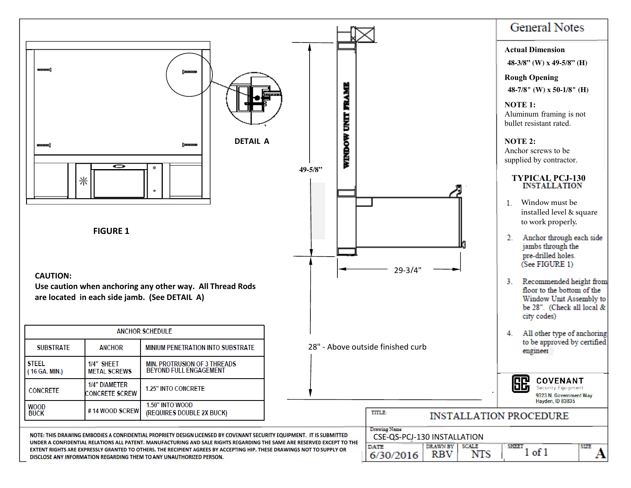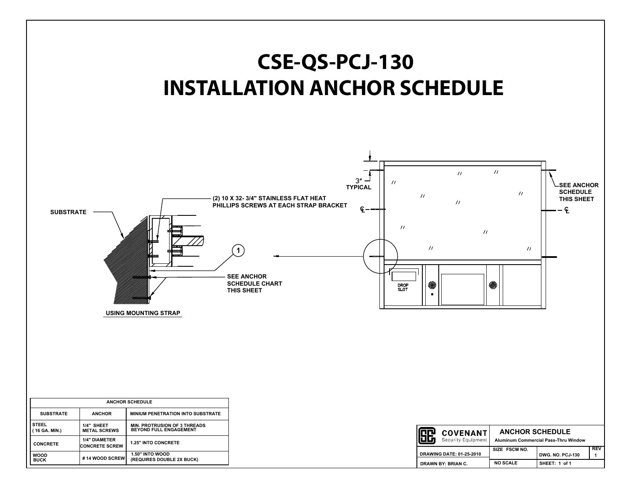